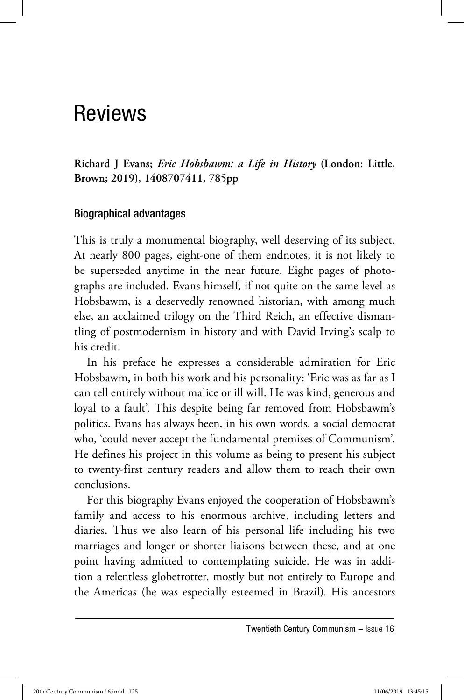# Reviews

**Richard J Evans;** *Eric Hobsbawm: a Life in History* **(London: Little, Brown; 2019), 1408707411, 785pp**

### Biographical advantages

This is truly a monumental biography, well deserving of its subject. At nearly 800 pages, eight-one of them endnotes, it is not likely to be superseded anytime in the near future. Eight pages of photographs are included. Evans himself, if not quite on the same level as Hobsbawm, is a deservedly renowned historian, with among much else, an acclaimed trilogy on the Third Reich, an effective dismantling of postmodernism in history and with David Irving's scalp to his credit.

In his preface he expresses a considerable admiration for Eric Hobsbawm, in both his work and his personality: 'Eric was as far as I can tell entirely without malice or ill will. He was kind, generous and loyal to a fault'. This despite being far removed from Hobsbawm's politics. Evans has always been, in his own words, a social democrat who, 'could never accept the fundamental premises of Communism'. He defines his project in this volume as being to present his subject to twenty-first century readers and allow them to reach their own conclusions.

For this biography Evans enjoyed the cooperation of Hobsbawm's family and access to his enormous archive, including letters and diaries. Thus we also learn of his personal life including his two marriages and longer or shorter liaisons between these, and at one point having admitted to contemplating suicide. He was in addition a relentless globetrotter, mostly but not entirely to Europe and the Americas (he was especially esteemed in Brazil). His ancestors

Twentieth Century Communism – Issue 16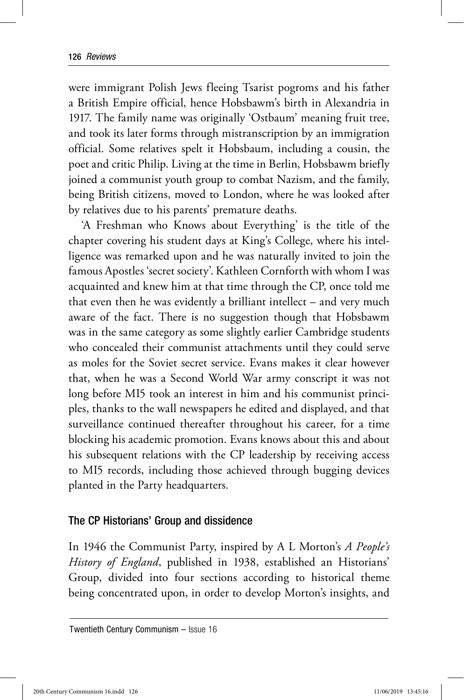were immigrant Polish Jews fleeing Tsarist pogroms and his father a British Empire official, hence Hobsbawm's birth in Alexandria in 1917. The family name was originally 'Ostbaum' meaning fruit tree, and took its later forms through mistranscription by an immigration official. Some relatives spelt it Hobsbaum, including a cousin, the poet and critic Philip. Living at the time in Berlin, Hobsbawm briefly joined a communist youth group to combat Nazism, and the family, being British citizens, moved to London, where he was looked after by relatives due to his parents' premature deaths.

'A Freshman who Knows about Everything' is the title of the chapter covering his student days at King's College, where his intelligence was remarked upon and he was naturally invited to join the famous Apostles 'secret society'. Kathleen Cornforth with whom I was acquainted and knew him at that time through the CP, once told me that even then he was evidently a brilliant intellect – and very much aware of the fact. There is no suggestion though that Hobsbawm was in the same category as some slightly earlier Cambridge students who concealed their communist attachments until they could serve as moles for the Soviet secret service. Evans makes it clear however that, when he was a Second World War army conscript it was not long before MI5 took an interest in him and his communist principles, thanks to the wall newspapers he edited and displayed, and that surveillance continued thereafter throughout his career, for a time blocking his academic promotion. Evans knows about this and about his subsequent relations with the CP leadership by receiving access to MI5 records, including those achieved through bugging devices planted in the Party headquarters.

#### The CP Historians' Group and dissidence

In 1946 the Communist Party, inspired by A L Morton's *A People's History of England*, published in 1938, established an Historians' Group, divided into four sections according to historical theme being concentrated upon, in order to develop Morton's insights, and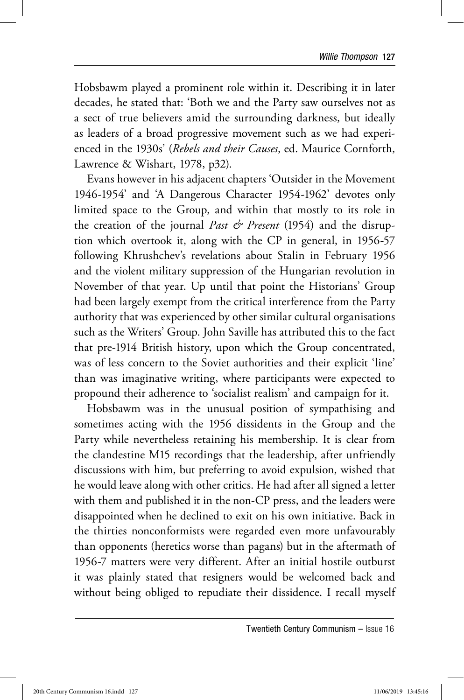Hobsbawm played a prominent role within it. Describing it in later decades, he stated that: 'Both we and the Party saw ourselves not as a sect of true believers amid the surrounding darkness, but ideally as leaders of a broad progressive movement such as we had experienced in the 1930s' (*Rebels and their Causes*, ed. Maurice Cornforth, Lawrence & Wishart, 1978, p32).

Evans however in his adjacent chapters 'Outsider in the Movement 1946-1954' and 'A Dangerous Character 1954-1962' devotes only limited space to the Group, and within that mostly to its role in the creation of the journal *Past & Present* (1954) and the disruption which overtook it, along with the CP in general, in 1956-57 following Khrushchev's revelations about Stalin in February 1956 and the violent military suppression of the Hungarian revolution in November of that year. Up until that point the Historians' Group had been largely exempt from the critical interference from the Party authority that was experienced by other similar cultural organisations such as the Writers' Group. John Saville has attributed this to the fact that pre-1914 British history, upon which the Group concentrated, was of less concern to the Soviet authorities and their explicit 'line' than was imaginative writing, where participants were expected to propound their adherence to 'socialist realism' and campaign for it.

Hobsbawm was in the unusual position of sympathising and sometimes acting with the 1956 dissidents in the Group and the Party while nevertheless retaining his membership. It is clear from the clandestine M15 recordings that the leadership, after unfriendly discussions with him, but preferring to avoid expulsion, wished that he would leave along with other critics. He had after all signed a letter with them and published it in the non-CP press, and the leaders were disappointed when he declined to exit on his own initiative. Back in the thirties nonconformists were regarded even more unfavourably than opponents (heretics worse than pagans) but in the aftermath of 1956-7 matters were very different. After an initial hostile outburst it was plainly stated that resigners would be welcomed back and without being obliged to repudiate their dissidence. I recall myself

Twentieth Century Communism – Issue 16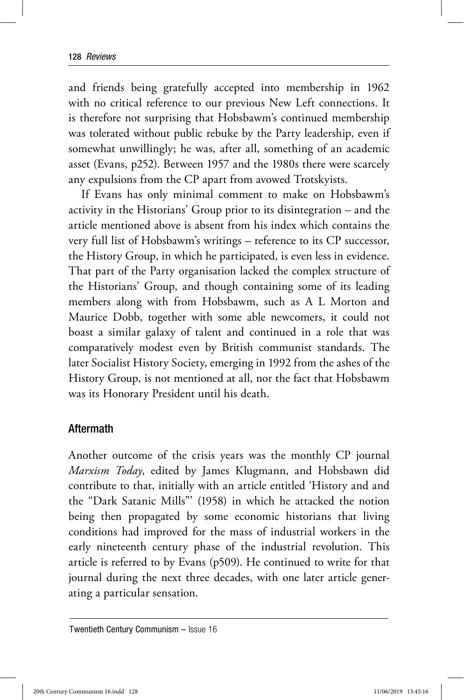and friends being gratefully accepted into membership in 1962 with no critical reference to our previous New Left connections. It is therefore not surprising that Hobsbawm's continued membership was tolerated without public rebuke by the Party leadership, even if somewhat unwillingly; he was, after all, something of an academic asset (Evans, p252). Between 1957 and the 1980s there were scarcely any expulsions from the CP apart from avowed Trotskyists.

If Evans has only minimal comment to make on Hobsbawm's activity in the Historians' Group prior to its disintegration – and the article mentioned above is absent from his index which contains the very full list of Hobsbawm's writings – reference to its CP successor, the History Group, in which he participated, is even less in evidence. That part of the Party organisation lacked the complex structure of the Historians' Group, and though containing some of its leading members along with from Hobsbawm, such as A L Morton and Maurice Dobb, together with some able newcomers, it could not boast a similar galaxy of talent and continued in a role that was comparatively modest even by British communist standards. The later Socialist History Society, emerging in 1992 from the ashes of the History Group, is not mentioned at all, nor the fact that Hobsbawm was its Honorary President until his death.

### Aftermath

Another outcome of the crisis years was the monthly CP journal *Marxism Today*, edited by James Klugmann, and Hobsbawn did contribute to that, initially with an article entitled 'History and and the "Dark Satanic Mills"' (1958) in which he attacked the notion being then propagated by some economic historians that living conditions had improved for the mass of industrial workers in the early nineteenth century phase of the industrial revolution. This article is referred to by Evans (p509). He continued to write for that journal during the next three decades, with one later article generating a particular sensation.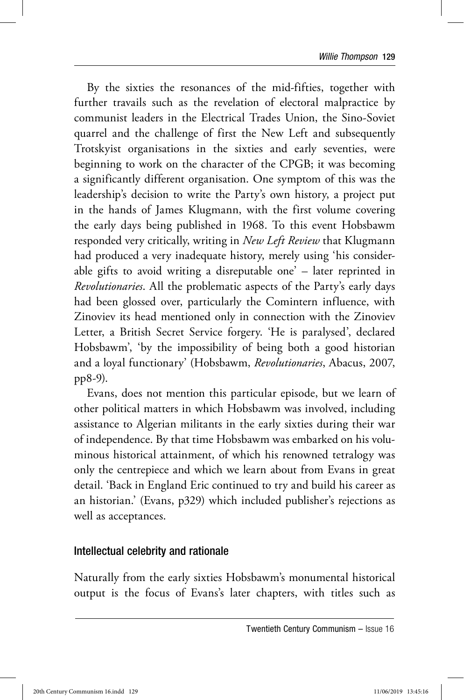By the sixties the resonances of the mid-fifties, together with further travails such as the revelation of electoral malpractice by communist leaders in the Electrical Trades Union, the Sino-Soviet quarrel and the challenge of first the New Left and subsequently Trotskyist organisations in the sixties and early seventies, were beginning to work on the character of the CPGB; it was becoming a significantly different organisation. One symptom of this was the leadership's decision to write the Party's own history, a project put in the hands of James Klugmann, with the first volume covering the early days being published in 1968. To this event Hobsbawm responded very critically, writing in *New Left Review* that Klugmann had produced a very inadequate history, merely using 'his considerable gifts to avoid writing a disreputable one' – later reprinted in *Revolutionaries*. All the problematic aspects of the Party's early days had been glossed over, particularly the Comintern influence, with Zinoviev its head mentioned only in connection with the Zinoviev Letter, a British Secret Service forgery. 'He is paralysed', declared Hobsbawm', 'by the impossibility of being both a good historian and a loyal functionary' (Hobsbawm, *Revolutionaries*, Abacus, 2007, pp8-9).

Evans, does not mention this particular episode, but we learn of other political matters in which Hobsbawm was involved, including assistance to Algerian militants in the early sixties during their war of independence. By that time Hobsbawm was embarked on his voluminous historical attainment, of which his renowned tetralogy was only the centrepiece and which we learn about from Evans in great detail. 'Back in England Eric continued to try and build his career as an historian.' (Evans, p329) which included publisher's rejections as well as acceptances.

### Intellectual celebrity and rationale

Naturally from the early sixties Hobsbawm's monumental historical output is the focus of Evans's later chapters, with titles such as

Twentieth Century Communism – Issue 16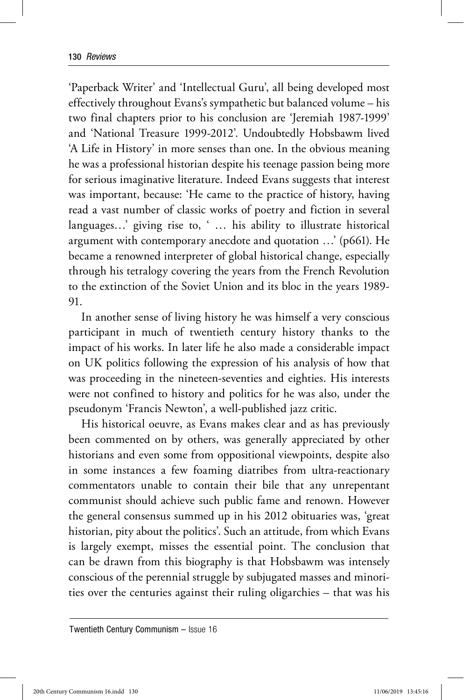'Paperback Writer' and 'Intellectual Guru', all being developed most effectively throughout Evans's sympathetic but balanced volume – his two final chapters prior to his conclusion are 'Jeremiah 1987-1999' and 'National Treasure 1999-2012'. Undoubtedly Hobsbawm lived 'A Life in History' in more senses than one. In the obvious meaning he was a professional historian despite his teenage passion being more for serious imaginative literature. Indeed Evans suggests that interest was important, because: 'He came to the practice of history, having read a vast number of classic works of poetry and fiction in several languages…' giving rise to, ' … his ability to illustrate historical argument with contemporary anecdote and quotation …' (p661). He became a renowned interpreter of global historical change, especially through his tetralogy covering the years from the French Revolution to the extinction of the Soviet Union and its bloc in the years 1989- 91.

In another sense of living history he was himself a very conscious participant in much of twentieth century history thanks to the impact of his works. In later life he also made a considerable impact on UK politics following the expression of his analysis of how that was proceeding in the nineteen-seventies and eighties. His interests were not confined to history and politics for he was also, under the pseudonym 'Francis Newton', a well-published jazz critic.

His historical oeuvre, as Evans makes clear and as has previously been commented on by others, was generally appreciated by other historians and even some from oppositional viewpoints, despite also in some instances a few foaming diatribes from ultra-reactionary commentators unable to contain their bile that any unrepentant communist should achieve such public fame and renown. However the general consensus summed up in his 2012 obituaries was, 'great historian, pity about the politics'. Such an attitude, from which Evans is largely exempt, misses the essential point. The conclusion that can be drawn from this biography is that Hobsbawm was intensely conscious of the perennial struggle by subjugated masses and minorities over the centuries against their ruling oligarchies – that was his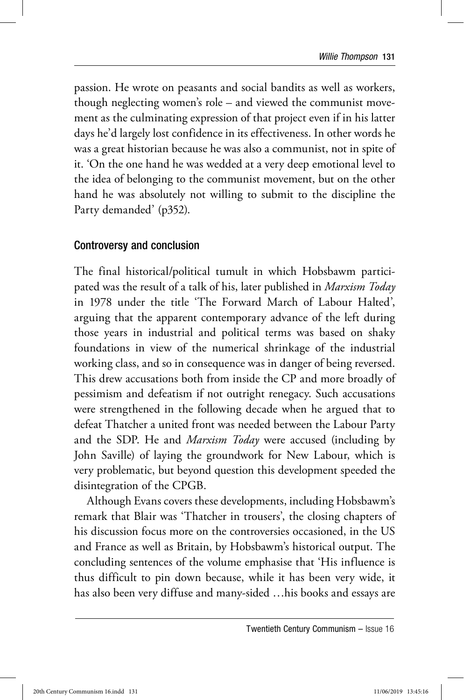passion. He wrote on peasants and social bandits as well as workers, though neglecting women's role – and viewed the communist movement as the culminating expression of that project even if in his latter days he'd largely lost confidence in its effectiveness. In other words he was a great historian because he was also a communist, not in spite of it. 'On the one hand he was wedded at a very deep emotional level to the idea of belonging to the communist movement, but on the other hand he was absolutely not willing to submit to the discipline the Party demanded' (p352).

### Controversy and conclusion

The final historical/political tumult in which Hobsbawm participated was the result of a talk of his, later published in *Marxism Today* in 1978 under the title 'The Forward March of Labour Halted', arguing that the apparent contemporary advance of the left during those years in industrial and political terms was based on shaky foundations in view of the numerical shrinkage of the industrial working class, and so in consequence was in danger of being reversed. This drew accusations both from inside the CP and more broadly of pessimism and defeatism if not outright renegacy. Such accusations were strengthened in the following decade when he argued that to defeat Thatcher a united front was needed between the Labour Party and the SDP. He and *Marxism Today* were accused (including by John Saville) of laying the groundwork for New Labour, which is very problematic, but beyond question this development speeded the disintegration of the CPGB.

Although Evans covers these developments, including Hobsbawm's remark that Blair was 'Thatcher in trousers', the closing chapters of his discussion focus more on the controversies occasioned, in the US and France as well as Britain, by Hobsbawm's historical output. The concluding sentences of the volume emphasise that 'His influence is thus difficult to pin down because, while it has been very wide, it has also been very diffuse and many-sided …his books and essays are

Twentieth Century Communism – Issue 16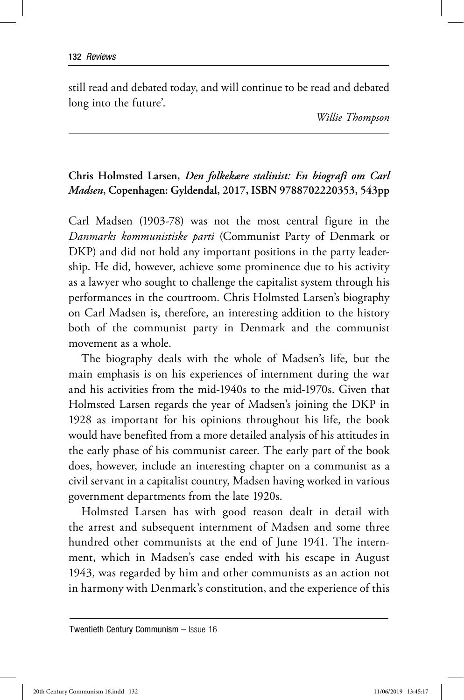still read and debated today, and will continue to be read and debated long into the future'.

*Willie Thompson*

## **Chris Holmsted Larsen,** *Den folkekære stalinist: En biografi om Carl Madsen***, Copenhagen: Gyldendal, 2017, ISBN 9788702220353, 543pp**

Carl Madsen (1903-78) was not the most central figure in the *Danmarks kommunistiske parti* (Communist Party of Denmark or DKP) and did not hold any important positions in the party leadership. He did, however, achieve some prominence due to his activity as a lawyer who sought to challenge the capitalist system through his performances in the courtroom. Chris Holmsted Larsen's biography on Carl Madsen is, therefore, an interesting addition to the history both of the communist party in Denmark and the communist movement as a whole.

The biography deals with the whole of Madsen's life, but the main emphasis is on his experiences of internment during the war and his activities from the mid-1940s to the mid-1970s. Given that Holmsted Larsen regards the year of Madsen's joining the DKP in 1928 as important for his opinions throughout his life, the book would have benefited from a more detailed analysis of his attitudes in the early phase of his communist career. The early part of the book does, however, include an interesting chapter on a communist as a civil servant in a capitalist country, Madsen having worked in various government departments from the late 1920s.

Holmsted Larsen has with good reason dealt in detail with the arrest and subsequent internment of Madsen and some three hundred other communists at the end of June 1941. The internment, which in Madsen's case ended with his escape in August 1943, was regarded by him and other communists as an action not in harmony with Denmark's constitution, and the experience of this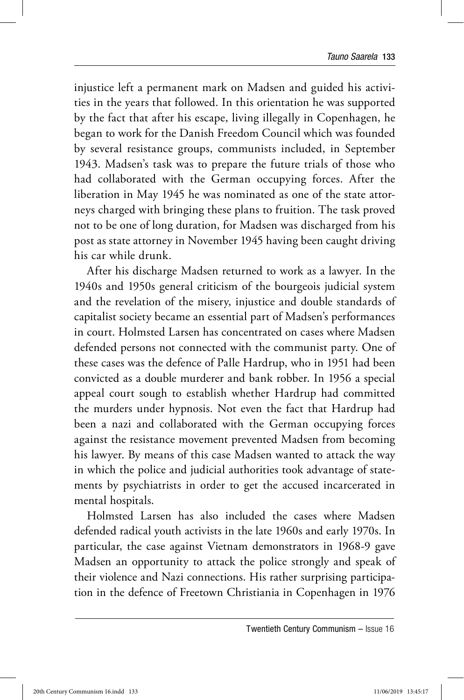injustice left a permanent mark on Madsen and guided his activities in the years that followed. In this orientation he was supported by the fact that after his escape, living illegally in Copenhagen, he began to work for the Danish Freedom Council which was founded by several resistance groups, communists included, in September 1943. Madsen's task was to prepare the future trials of those who had collaborated with the German occupying forces. After the liberation in May 1945 he was nominated as one of the state attorneys charged with bringing these plans to fruition. The task proved not to be one of long duration, for Madsen was discharged from his post as state attorney in November 1945 having been caught driving his car while drunk.

After his discharge Madsen returned to work as a lawyer. In the 1940s and 1950s general criticism of the bourgeois judicial system and the revelation of the misery, injustice and double standards of capitalist society became an essential part of Madsen's performances in court. Holmsted Larsen has concentrated on cases where Madsen defended persons not connected with the communist party. One of these cases was the defence of Palle Hardrup, who in 1951 had been convicted as a double murderer and bank robber. In 1956 a special appeal court sough to establish whether Hardrup had committed the murders under hypnosis. Not even the fact that Hardrup had been a nazi and collaborated with the German occupying forces against the resistance movement prevented Madsen from becoming his lawyer. By means of this case Madsen wanted to attack the way in which the police and judicial authorities took advantage of statements by psychiatrists in order to get the accused incarcerated in mental hospitals.

Holmsted Larsen has also included the cases where Madsen defended radical youth activists in the late 1960s and early 1970s. In particular, the case against Vietnam demonstrators in 1968-9 gave Madsen an opportunity to attack the police strongly and speak of their violence and Nazi connections. His rather surprising participation in the defence of Freetown Christiania in Copenhagen in 1976

Twentieth Century Communism – Issue 16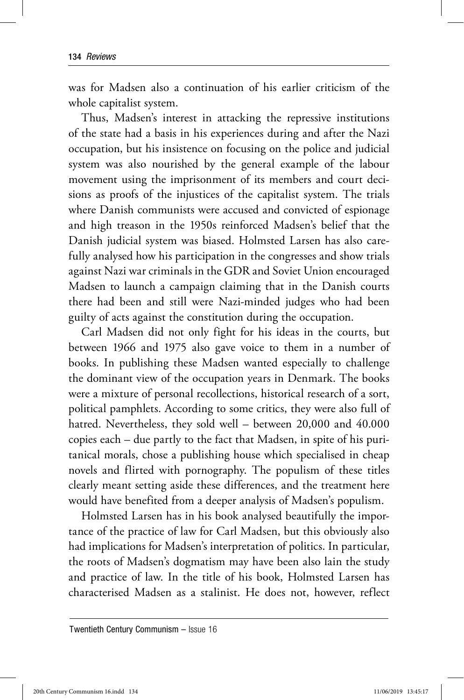was for Madsen also a continuation of his earlier criticism of the whole capitalist system.

Thus, Madsen's interest in attacking the repressive institutions of the state had a basis in his experiences during and after the Nazi occupation, but his insistence on focusing on the police and judicial system was also nourished by the general example of the labour movement using the imprisonment of its members and court decisions as proofs of the injustices of the capitalist system. The trials where Danish communists were accused and convicted of espionage and high treason in the 1950s reinforced Madsen's belief that the Danish judicial system was biased. Holmsted Larsen has also carefully analysed how his participation in the congresses and show trials against Nazi war criminals in the GDR and Soviet Union encouraged Madsen to launch a campaign claiming that in the Danish courts there had been and still were Nazi-minded judges who had been guilty of acts against the constitution during the occupation.

Carl Madsen did not only fight for his ideas in the courts, but between 1966 and 1975 also gave voice to them in a number of books. In publishing these Madsen wanted especially to challenge the dominant view of the occupation years in Denmark. The books were a mixture of personal recollections, historical research of a sort, political pamphlets. According to some critics, they were also full of hatred. Nevertheless, they sold well – between 20,000 and 40.000 copies each – due partly to the fact that Madsen, in spite of his puritanical morals, chose a publishing house which specialised in cheap novels and flirted with pornography. The populism of these titles clearly meant setting aside these differences, and the treatment here would have benefited from a deeper analysis of Madsen's populism.

Holmsted Larsen has in his book analysed beautifully the importance of the practice of law for Carl Madsen, but this obviously also had implications for Madsen's interpretation of politics. In particular, the roots of Madsen's dogmatism may have been also lain the study and practice of law. In the title of his book, Holmsted Larsen has characterised Madsen as a stalinist. He does not, however, reflect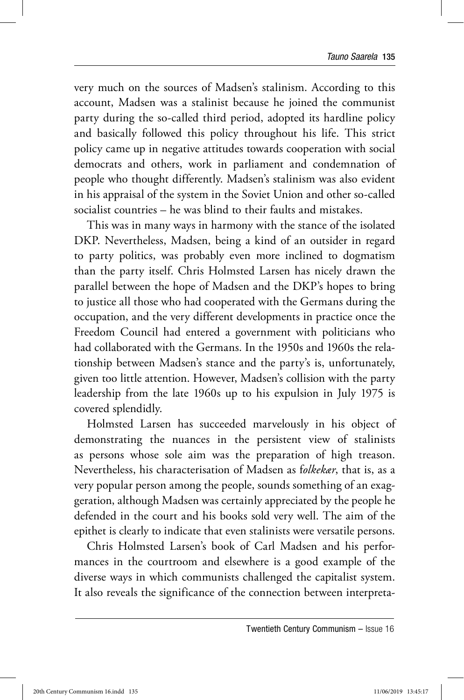very much on the sources of Madsen's stalinism. According to this account, Madsen was a stalinist because he joined the communist party during the so-called third period, adopted its hardline policy and basically followed this policy throughout his life. This strict policy came up in negative attitudes towards cooperation with social democrats and others, work in parliament and condemnation of people who thought differently. Madsen's stalinism was also evident in his appraisal of the system in the Soviet Union and other so-called socialist countries – he was blind to their faults and mistakes.

This was in many ways in harmony with the stance of the isolated DKP. Nevertheless, Madsen, being a kind of an outsider in regard to party politics, was probably even more inclined to dogmatism than the party itself. Chris Holmsted Larsen has nicely drawn the parallel between the hope of Madsen and the DKP's hopes to bring to justice all those who had cooperated with the Germans during the occupation, and the very different developments in practice once the Freedom Council had entered a government with politicians who had collaborated with the Germans. In the 1950s and 1960s the relationship between Madsen's stance and the party's is, unfortunately, given too little attention. However, Madsen's collision with the party leadership from the late 1960s up to his expulsion in July 1975 is covered splendidly.

Holmsted Larsen has succeeded marvelously in his object of demonstrating the nuances in the persistent view of stalinists as persons whose sole aim was the preparation of high treason. Nevertheless, his characterisation of Madsen as f*olkekær*, that is, as a very popular person among the people, sounds something of an exaggeration, although Madsen was certainly appreciated by the people he defended in the court and his books sold very well. The aim of the epithet is clearly to indicate that even stalinists were versatile persons.

Chris Holmsted Larsen's book of Carl Madsen and his performances in the courtroom and elsewhere is a good example of the diverse ways in which communists challenged the capitalist system. It also reveals the significance of the connection between interpreta-

Twentieth Century Communism – Issue 16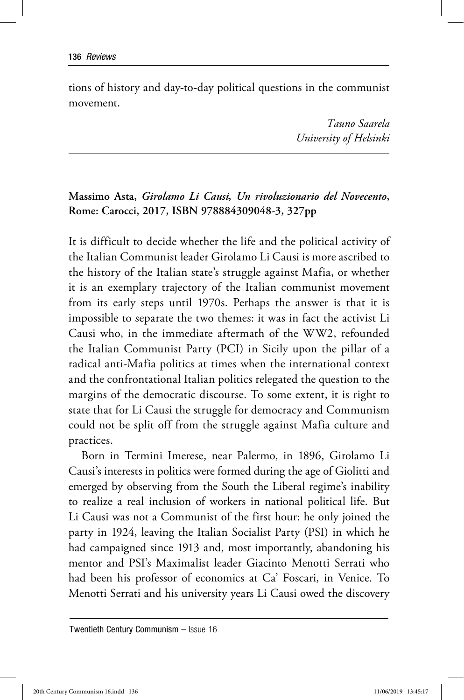tions of history and day-to-day political questions in the communist movement.

> *Tauno Saarela University of Helsinki*

## **Massimo Asta,** *Girolamo Li Causi, Un rivoluzionario del Novecento***, Rome: Carocci, 2017, ISBN 978884309048-3, 327pp**

It is difficult to decide whether the life and the political activity of the Italian Communist leader Girolamo Li Causi is more ascribed to the history of the Italian state's struggle against Mafia, or whether it is an exemplary trajectory of the Italian communist movement from its early steps until 1970s. Perhaps the answer is that it is impossible to separate the two themes: it was in fact the activist Li Causi who, in the immediate aftermath of the WW2, refounded the Italian Communist Party (PCI) in Sicily upon the pillar of a radical anti-Mafia politics at times when the international context and the confrontational Italian politics relegated the question to the margins of the democratic discourse. To some extent, it is right to state that for Li Causi the struggle for democracy and Communism could not be split off from the struggle against Mafia culture and practices.

Born in Termini Imerese, near Palermo, in 1896, Girolamo Li Causi's interests in politics were formed during the age of Giolitti and emerged by observing from the South the Liberal regime's inability to realize a real inclusion of workers in national political life. But Li Causi was not a Communist of the first hour: he only joined the party in 1924, leaving the Italian Socialist Party (PSI) in which he had campaigned since 1913 and, most importantly, abandoning his mentor and PSI's Maximalist leader Giacinto Menotti Serrati who had been his professor of economics at Ca' Foscari, in Venice. To Menotti Serrati and his university years Li Causi owed the discovery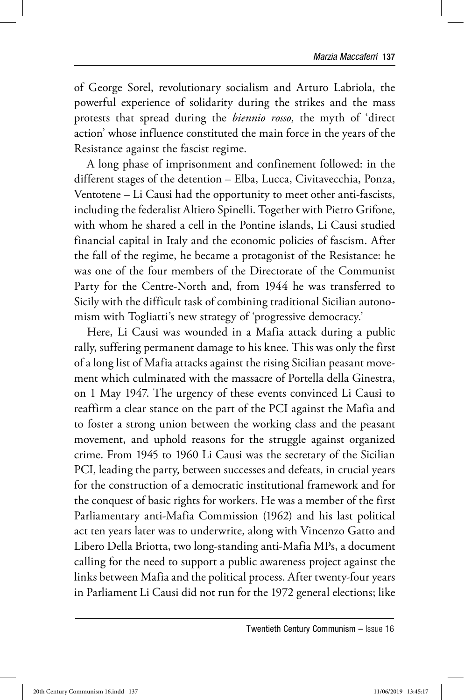of George Sorel, revolutionary socialism and Arturo Labriola, the powerful experience of solidarity during the strikes and the mass protests that spread during the *biennio rosso*, the myth of 'direct action' whose influence constituted the main force in the years of the Resistance against the fascist regime.

A long phase of imprisonment and confinement followed: in the different stages of the detention – Elba, Lucca, Civitavecchia, Ponza, Ventotene – Li Causi had the opportunity to meet other anti-fascists, including the federalist Altiero Spinelli. Together with Pietro Grifone, with whom he shared a cell in the Pontine islands, Li Causi studied financial capital in Italy and the economic policies of fascism. After the fall of the regime, he became a protagonist of the Resistance: he was one of the four members of the Directorate of the Communist Party for the Centre-North and, from 1944 he was transferred to Sicily with the difficult task of combining traditional Sicilian autonomism with Togliatti's new strategy of 'progressive democracy.'

Here, Li Causi was wounded in a Mafia attack during a public rally, suffering permanent damage to his knee. This was only the first of a long list of Mafia attacks against the rising Sicilian peasant movement which culminated with the massacre of Portella della Ginestra, on 1 May 1947. The urgency of these events convinced Li Causi to reaffirm a clear stance on the part of the PCI against the Mafia and to foster a strong union between the working class and the peasant movement, and uphold reasons for the struggle against organized crime. From 1945 to 1960 Li Causi was the secretary of the Sicilian PCI, leading the party, between successes and defeats, in crucial years for the construction of a democratic institutional framework and for the conquest of basic rights for workers. He was a member of the first Parliamentary anti-Mafia Commission (1962) and his last political act ten years later was to underwrite, along with Vincenzo Gatto and Libero Della Briotta, two long-standing anti-Mafia MPs, a document calling for the need to support a public awareness project against the links between Mafia and the political process. After twenty-four years in Parliament Li Causi did not run for the 1972 general elections; like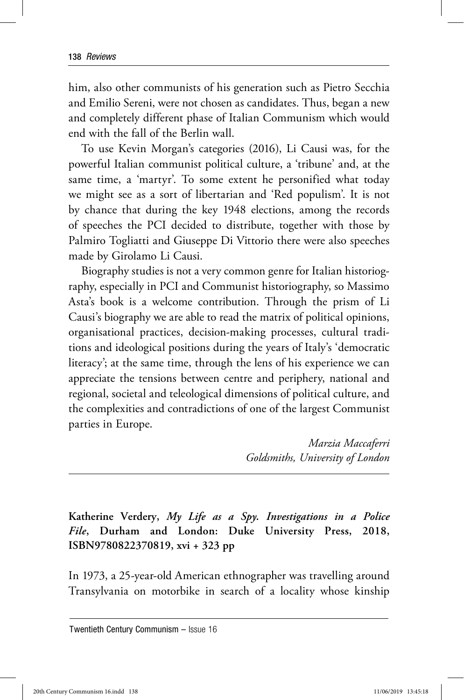him, also other communists of his generation such as Pietro Secchia and Emilio Sereni, were not chosen as candidates. Thus, began a new and completely different phase of Italian Communism which would end with the fall of the Berlin wall.

To use Kevin Morgan's categories (2016), Li Causi was, for the powerful Italian communist political culture, a 'tribune' and, at the same time, a 'martyr'. To some extent he personified what today we might see as a sort of libertarian and 'Red populism'. It is not by chance that during the key 1948 elections, among the records of speeches the PCI decided to distribute, together with those by Palmiro Togliatti and Giuseppe Di Vittorio there were also speeches made by Girolamo Li Causi.

Biography studies is not a very common genre for Italian historiography, especially in PCI and Communist historiography, so Massimo Asta's book is a welcome contribution. Through the prism of Li Causi's biography we are able to read the matrix of political opinions, organisational practices, decision-making processes, cultural traditions and ideological positions during the years of Italy's 'democratic literacy'; at the same time, through the lens of his experience we can appreciate the tensions between centre and periphery, national and regional, societal and teleological dimensions of political culture, and the complexities and contradictions of one of the largest Communist parties in Europe.

> *Marzia Maccaferri Goldsmiths, University of London*

**Katherine Verdery,** *My Life as a Spy. Investigations in a Police File***, Durham and London: Duke University Press, 2018, ISBN9780822370819, xvi + 323 pp**

In 1973, a 25-year-old American ethnographer was travelling around Transylvania on motorbike in search of a locality whose kinship

Twentieth Century Communism – Issue 16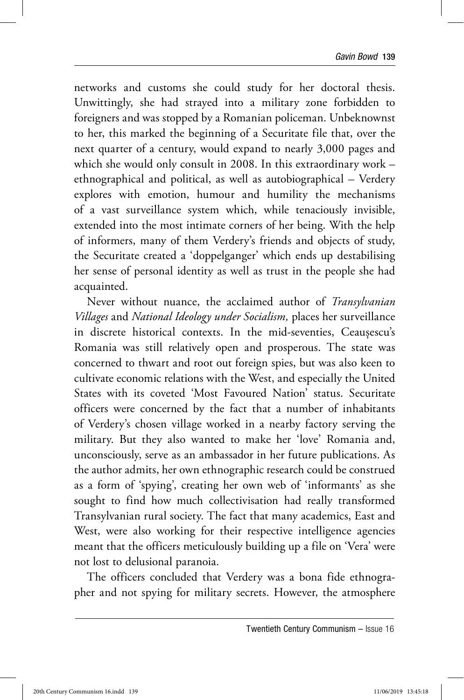networks and customs she could study for her doctoral thesis. Unwittingly, she had strayed into a military zone forbidden to foreigners and was stopped by a Romanian policeman. Unbeknownst to her, this marked the beginning of a Securitate file that, over the next quarter of a century, would expand to nearly 3,000 pages and which she would only consult in 2008. In this extraordinary work – ethnographical and political, as well as autobiographical – Verdery explores with emotion, humour and humility the mechanisms of a vast surveillance system which, while tenaciously invisible, extended into the most intimate corners of her being. With the help of informers, many of them Verdery's friends and objects of study, the Securitate created a 'doppelganger' which ends up destabilising her sense of personal identity as well as trust in the people she had acquainted.

Never without nuance, the acclaimed author of *Transylvanian Villages* and *National Ideology under Socialism,* places her surveillance in discrete historical contexts. In the mid-seventies, Ceaușescu's Romania was still relatively open and prosperous. The state was concerned to thwart and root out foreign spies, but was also keen to cultivate economic relations with the West, and especially the United States with its coveted 'Most Favoured Nation' status. Securitate officers were concerned by the fact that a number of inhabitants of Verdery's chosen village worked in a nearby factory serving the military. But they also wanted to make her 'love' Romania and, unconsciously, serve as an ambassador in her future publications. As the author admits, her own ethnographic research could be construed as a form of 'spying', creating her own web of 'informants' as she sought to find how much collectivisation had really transformed Transylvanian rural society. The fact that many academics, East and West, were also working for their respective intelligence agencies meant that the officers meticulously building up a file on 'Vera' were not lost to delusional paranoia.

The officers concluded that Verdery was a bona fide ethnographer and not spying for military secrets. However, the atmosphere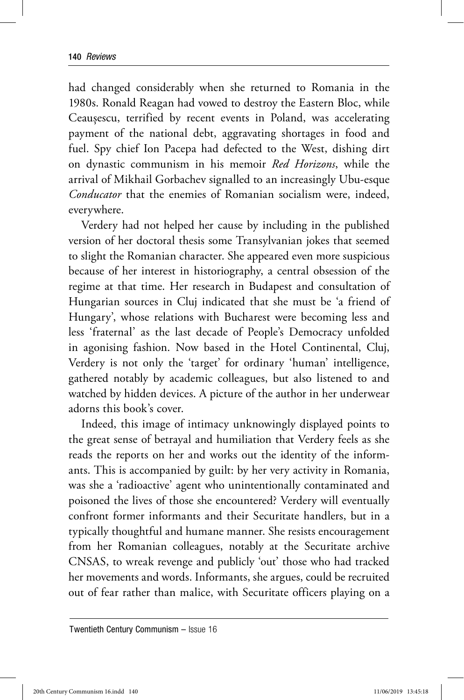had changed considerably when she returned to Romania in the 1980s. Ronald Reagan had vowed to destroy the Eastern Bloc, while Ceaușescu, terrified by recent events in Poland, was accelerating payment of the national debt, aggravating shortages in food and fuel. Spy chief Ion Pacepa had defected to the West, dishing dirt on dynastic communism in his memoir *Red Horizons*, while the arrival of Mikhail Gorbachev signalled to an increasingly Ubu-esque *Conducator* that the enemies of Romanian socialism were, indeed, everywhere.

Verdery had not helped her cause by including in the published version of her doctoral thesis some Transylvanian jokes that seemed to slight the Romanian character. She appeared even more suspicious because of her interest in historiography, a central obsession of the regime at that time. Her research in Budapest and consultation of Hungarian sources in Cluj indicated that she must be 'a friend of Hungary', whose relations with Bucharest were becoming less and less 'fraternal' as the last decade of People's Democracy unfolded in agonising fashion. Now based in the Hotel Continental, Cluj, Verdery is not only the 'target' for ordinary 'human' intelligence, gathered notably by academic colleagues, but also listened to and watched by hidden devices. A picture of the author in her underwear adorns this book's cover.

Indeed, this image of intimacy unknowingly displayed points to the great sense of betrayal and humiliation that Verdery feels as she reads the reports on her and works out the identity of the informants. This is accompanied by guilt: by her very activity in Romania, was she a 'radioactive' agent who unintentionally contaminated and poisoned the lives of those she encountered? Verdery will eventually confront former informants and their Securitate handlers, but in a typically thoughtful and humane manner. She resists encouragement from her Romanian colleagues, notably at the Securitate archive CNSAS, to wreak revenge and publicly 'out' those who had tracked her movements and words. Informants, she argues, could be recruited out of fear rather than malice, with Securitate officers playing on a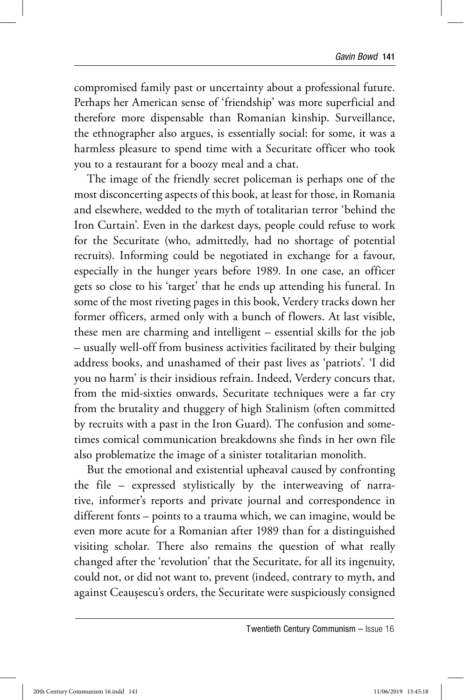compromised family past or uncertainty about a professional future. Perhaps her American sense of 'friendship' was more superficial and therefore more dispensable than Romanian kinship. Surveillance, the ethnographer also argues, is essentially social: for some, it was a harmless pleasure to spend time with a Securitate officer who took you to a restaurant for a boozy meal and a chat.

The image of the friendly secret policeman is perhaps one of the most disconcerting aspects of this book, at least for those, in Romania and elsewhere, wedded to the myth of totalitarian terror 'behind the Iron Curtain'. Even in the darkest days, people could refuse to work for the Securitate (who, admittedly, had no shortage of potential recruits). Informing could be negotiated in exchange for a favour, especially in the hunger years before 1989. In one case, an officer gets so close to his 'target' that he ends up attending his funeral. In some of the most riveting pages in this book, Verdery tracks down her former officers, armed only with a bunch of flowers. At last visible, these men are charming and intelligent – essential skills for the job – usually well-off from business activities facilitated by their bulging address books, and unashamed of their past lives as 'patriots'. 'I did you no harm' is their insidious refrain. Indeed, Verdery concurs that, from the mid-sixties onwards, Securitate techniques were a far cry from the brutality and thuggery of high Stalinism (often committed by recruits with a past in the Iron Guard). The confusion and sometimes comical communication breakdowns she finds in her own file also problematize the image of a sinister totalitarian monolith.

But the emotional and existential upheaval caused by confronting the file – expressed stylistically by the interweaving of narrative, informer's reports and private journal and correspondence in different fonts – points to a trauma which, we can imagine, would be even more acute for a Romanian after 1989 than for a distinguished visiting scholar. There also remains the question of what really changed after the 'revolution' that the Securitate, for all its ingenuity, could not, or did not want to, prevent (indeed, contrary to myth, and against Ceaușescu's orders, the Securitate were suspiciously consigned

Twentieth Century Communism – Issue 16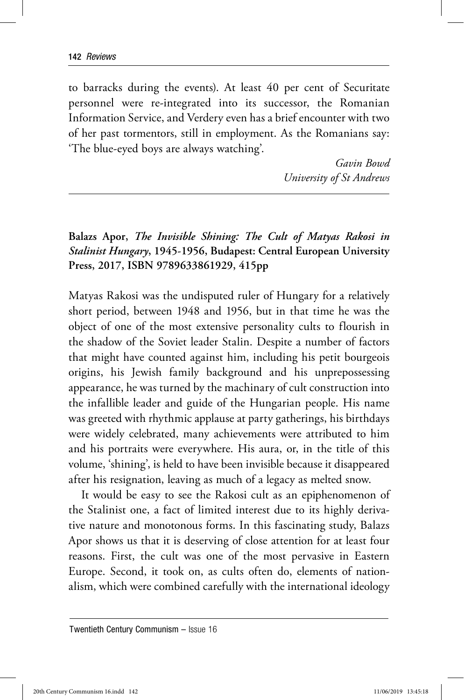to barracks during the events). At least 40 per cent of Securitate personnel were re-integrated into its successor, the Romanian Information Service, and Verdery even has a brief encounter with two of her past tormentors, still in employment. As the Romanians say: 'The blue-eyed boys are always watching'.

> *Gavin Bowd University of St Andrews*

## **Balazs Apor,** *The Invisible Shining: The Cult of Matyas Rakosi in Stalinist Hungary***, 1945-1956, Budapest: Central European University Press, 2017, ISBN 9789633861929, 415pp**

Matyas Rakosi was the undisputed ruler of Hungary for a relatively short period, between 1948 and 1956, but in that time he was the object of one of the most extensive personality cults to flourish in the shadow of the Soviet leader Stalin. Despite a number of factors that might have counted against him, including his petit bourgeois origins, his Jewish family background and his unprepossessing appearance, he was turned by the machinary of cult construction into the infallible leader and guide of the Hungarian people. His name was greeted with rhythmic applause at party gatherings, his birthdays were widely celebrated, many achievements were attributed to him and his portraits were everywhere. His aura, or, in the title of this volume, 'shining', is held to have been invisible because it disappeared after his resignation, leaving as much of a legacy as melted snow.

It would be easy to see the Rakosi cult as an epiphenomenon of the Stalinist one, a fact of limited interest due to its highly derivative nature and monotonous forms. In this fascinating study, Balazs Apor shows us that it is deserving of close attention for at least four reasons. First, the cult was one of the most pervasive in Eastern Europe. Second, it took on, as cults often do, elements of nationalism, which were combined carefully with the international ideology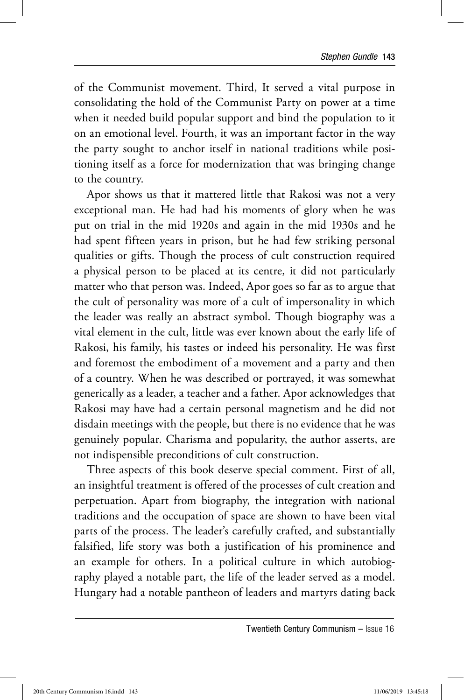of the Communist movement. Third, It served a vital purpose in consolidating the hold of the Communist Party on power at a time when it needed build popular support and bind the population to it on an emotional level. Fourth, it was an important factor in the way the party sought to anchor itself in national traditions while positioning itself as a force for modernization that was bringing change to the country.

Apor shows us that it mattered little that Rakosi was not a very exceptional man. He had had his moments of glory when he was put on trial in the mid 1920s and again in the mid 1930s and he had spent fifteen years in prison, but he had few striking personal qualities or gifts. Though the process of cult construction required a physical person to be placed at its centre, it did not particularly matter who that person was. Indeed, Apor goes so far as to argue that the cult of personality was more of a cult of impersonality in which the leader was really an abstract symbol. Though biography was a vital element in the cult, little was ever known about the early life of Rakosi, his family, his tastes or indeed his personality. He was first and foremost the embodiment of a movement and a party and then of a country. When he was described or portrayed, it was somewhat generically as a leader, a teacher and a father. Apor acknowledges that Rakosi may have had a certain personal magnetism and he did not disdain meetings with the people, but there is no evidence that he was genuinely popular. Charisma and popularity, the author asserts, are not indispensible preconditions of cult construction.

Three aspects of this book deserve special comment. First of all, an insightful treatment is offered of the processes of cult creation and perpetuation. Apart from biography, the integration with national traditions and the occupation of space are shown to have been vital parts of the process. The leader's carefully crafted, and substantially falsified, life story was both a justification of his prominence and an example for others. In a political culture in which autobiography played a notable part, the life of the leader served as a model. Hungary had a notable pantheon of leaders and martyrs dating back

Twentieth Century Communism – Issue 16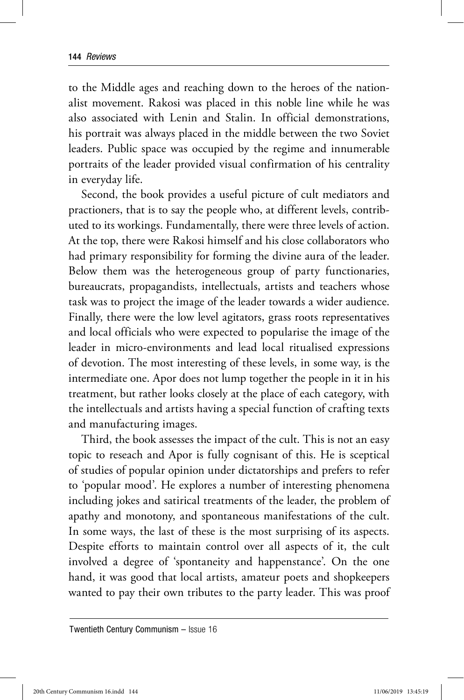to the Middle ages and reaching down to the heroes of the nationalist movement. Rakosi was placed in this noble line while he was also associated with Lenin and Stalin. In official demonstrations, his portrait was always placed in the middle between the two Soviet leaders. Public space was occupied by the regime and innumerable portraits of the leader provided visual confirmation of his centrality in everyday life.

Second, the book provides a useful picture of cult mediators and practioners, that is to say the people who, at different levels, contributed to its workings. Fundamentally, there were three levels of action. At the top, there were Rakosi himself and his close collaborators who had primary responsibility for forming the divine aura of the leader. Below them was the heterogeneous group of party functionaries, bureaucrats, propagandists, intellectuals, artists and teachers whose task was to project the image of the leader towards a wider audience. Finally, there were the low level agitators, grass roots representatives and local officials who were expected to popularise the image of the leader in micro-environments and lead local ritualised expressions of devotion. The most interesting of these levels, in some way, is the intermediate one. Apor does not lump together the people in it in his treatment, but rather looks closely at the place of each category, with the intellectuals and artists having a special function of crafting texts and manufacturing images.

Third, the book assesses the impact of the cult. This is not an easy topic to reseach and Apor is fully cognisant of this. He is sceptical of studies of popular opinion under dictatorships and prefers to refer to 'popular mood'. He explores a number of interesting phenomena including jokes and satirical treatments of the leader, the problem of apathy and monotony, and spontaneous manifestations of the cult. In some ways, the last of these is the most surprising of its aspects. Despite efforts to maintain control over all aspects of it, the cult involved a degree of 'spontaneity and happenstance'. On the one hand, it was good that local artists, amateur poets and shopkeepers wanted to pay their own tributes to the party leader. This was proof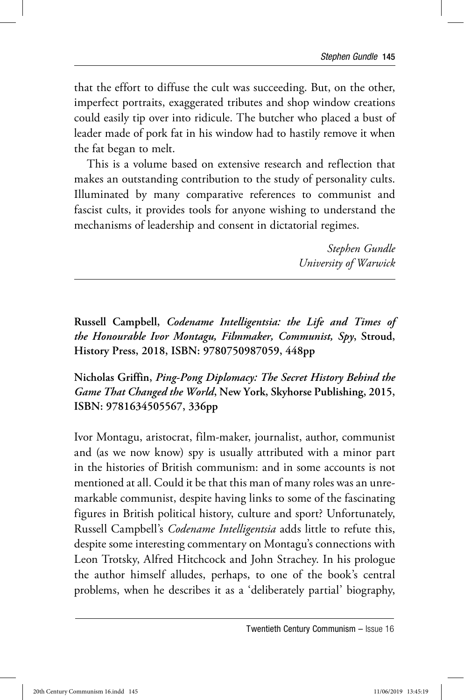that the effort to diffuse the cult was succeeding. But, on the other, imperfect portraits, exaggerated tributes and shop window creations could easily tip over into ridicule. The butcher who placed a bust of leader made of pork fat in his window had to hastily remove it when the fat began to melt.

This is a volume based on extensive research and reflection that makes an outstanding contribution to the study of personality cults. Illuminated by many comparative references to communist and fascist cults, it provides tools for anyone wishing to understand the mechanisms of leadership and consent in dictatorial regimes.

> *Stephen Gundle University of Warwick*

**Russell Campbell,** *Codename Intelligentsia: the Life and Times of the Honourable Ivor Montagu, Filmmaker, Communist, Spy***, Stroud, History Press, 2018, ISBN: 9780750987059, 448pp**

## **Nicholas Griffin,** *Ping-Pong Diplomacy: The Secret History Behind the Game That Changed the World***, New York, Skyhorse Publishing, 2015, ISBN: 9781634505567, 336pp**

Ivor Montagu, aristocrat, film-maker, journalist, author, communist and (as we now know) spy is usually attributed with a minor part in the histories of British communism: and in some accounts is not mentioned at all. Could it be that this man of many roles was an unremarkable communist, despite having links to some of the fascinating figures in British political history, culture and sport? Unfortunately, Russell Campbell's *Codename Intelligentsia* adds little to refute this, despite some interesting commentary on Montagu's connections with Leon Trotsky, Alfred Hitchcock and John Strachey. In his prologue the author himself alludes, perhaps, to one of the book's central problems, when he describes it as a 'deliberately partial' biography,

Twentieth Century Communism – Issue 16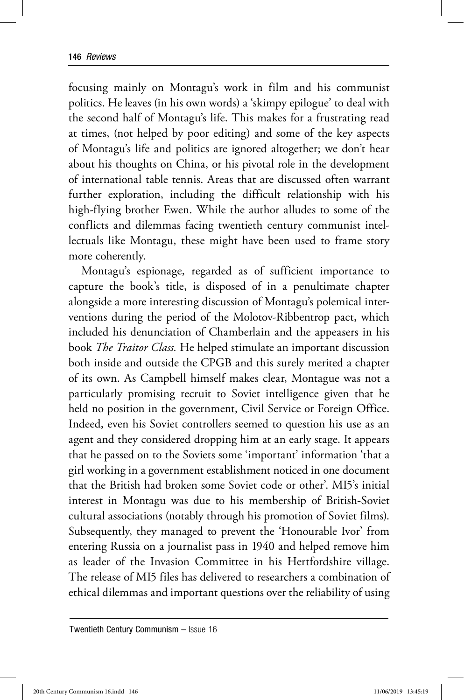focusing mainly on Montagu's work in film and his communist politics. He leaves (in his own words) a 'skimpy epilogue' to deal with the second half of Montagu's life. This makes for a frustrating read at times, (not helped by poor editing) and some of the key aspects of Montagu's life and politics are ignored altogether; we don't hear about his thoughts on China, or his pivotal role in the development of international table tennis. Areas that are discussed often warrant further exploration, including the difficult relationship with his high-flying brother Ewen. While the author alludes to some of the conflicts and dilemmas facing twentieth century communist intellectuals like Montagu, these might have been used to frame story more coherently.

Montagu's espionage, regarded as of sufficient importance to capture the book's title, is disposed of in a penultimate chapter alongside a more interesting discussion of Montagu's polemical interventions during the period of the Molotov-Ribbentrop pact, which included his denunciation of Chamberlain and the appeasers in his book *The Traitor Class.* He helped stimulate an important discussion both inside and outside the CPGB and this surely merited a chapter of its own. As Campbell himself makes clear, Montague was not a particularly promising recruit to Soviet intelligence given that he held no position in the government, Civil Service or Foreign Office. Indeed, even his Soviet controllers seemed to question his use as an agent and they considered dropping him at an early stage. It appears that he passed on to the Soviets some 'important' information 'that a girl working in a government establishment noticed in one document that the British had broken some Soviet code or other'. MI5's initial interest in Montagu was due to his membership of British-Soviet cultural associations (notably through his promotion of Soviet films). Subsequently, they managed to prevent the 'Honourable Ivor' from entering Russia on a journalist pass in 1940 and helped remove him as leader of the Invasion Committee in his Hertfordshire village. The release of MI5 files has delivered to researchers a combination of ethical dilemmas and important questions over the reliability of using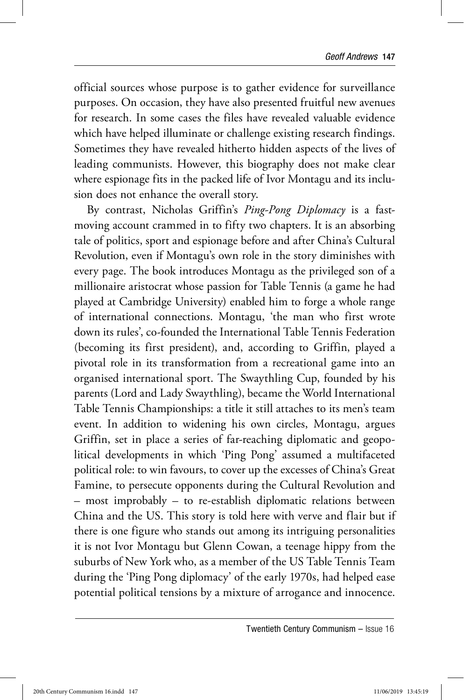official sources whose purpose is to gather evidence for surveillance purposes. On occasion, they have also presented fruitful new avenues for research. In some cases the files have revealed valuable evidence which have helped illuminate or challenge existing research findings. Sometimes they have revealed hitherto hidden aspects of the lives of leading communists. However, this biography does not make clear where espionage fits in the packed life of Ivor Montagu and its inclusion does not enhance the overall story.

By contrast, Nicholas Griffin's *Ping-Pong Diplomacy* is a fastmoving account crammed in to fifty two chapters. It is an absorbing tale of politics, sport and espionage before and after China's Cultural Revolution, even if Montagu's own role in the story diminishes with every page. The book introduces Montagu as the privileged son of a millionaire aristocrat whose passion for Table Tennis (a game he had played at Cambridge University) enabled him to forge a whole range of international connections. Montagu, 'the man who first wrote down its rules', co-founded the International Table Tennis Federation (becoming its first president), and, according to Griffin, played a pivotal role in its transformation from a recreational game into an organised international sport. The Swaythling Cup, founded by his parents (Lord and Lady Swaythling), became the World International Table Tennis Championships: a title it still attaches to its men's team event. In addition to widening his own circles, Montagu, argues Griffin, set in place a series of far-reaching diplomatic and geopolitical developments in which 'Ping Pong' assumed a multifaceted political role: to win favours, to cover up the excesses of China's Great Famine, to persecute opponents during the Cultural Revolution and – most improbably – to re-establish diplomatic relations between China and the US. This story is told here with verve and flair but if there is one figure who stands out among its intriguing personalities it is not Ivor Montagu but Glenn Cowan, a teenage hippy from the suburbs of New York who, as a member of the US Table Tennis Team during the 'Ping Pong diplomacy' of the early 1970s, had helped ease potential political tensions by a mixture of arrogance and innocence.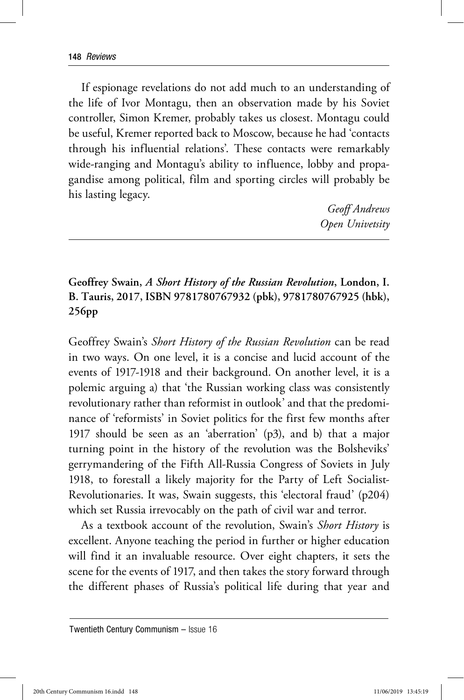If espionage revelations do not add much to an understanding of the life of Ivor Montagu, then an observation made by his Soviet controller, Simon Kremer, probably takes us closest. Montagu could be useful, Kremer reported back to Moscow, because he had 'contacts through his influential relations'. These contacts were remarkably wide-ranging and Montagu's ability to influence, lobby and propagandise among political, film and sporting circles will probably be his lasting legacy.

> *Geoff Andrews Open Univetsity*

**Geoffrey Swain,** *A Short History of the Russian Revolution***, London, I. B. Tauris, 2017, ISBN 9781780767932 (pbk), 9781780767925 (hbk), 256pp**

Geoffrey Swain's *Short History of the Russian Revolution* can be read in two ways. On one level, it is a concise and lucid account of the events of 1917-1918 and their background. On another level, it is a polemic arguing a) that 'the Russian working class was consistently revolutionary rather than reformist in outlook' and that the predominance of 'reformists' in Soviet politics for the first few months after 1917 should be seen as an 'aberration' (p3), and b) that a major turning point in the history of the revolution was the Bolsheviks' gerrymandering of the Fifth All-Russia Congress of Soviets in July 1918, to forestall a likely majority for the Party of Left Socialist-Revolutionaries. It was, Swain suggests, this 'electoral fraud' (p204) which set Russia irrevocably on the path of civil war and terror.

As a textbook account of the revolution, Swain's *Short History* is excellent. Anyone teaching the period in further or higher education will find it an invaluable resource. Over eight chapters, it sets the scene for the events of 1917, and then takes the story forward through the different phases of Russia's political life during that year and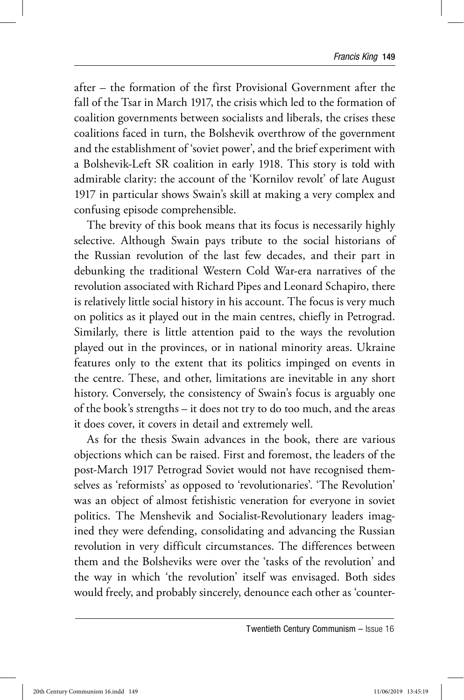after – the formation of the first Provisional Government after the fall of the Tsar in March 1917, the crisis which led to the formation of coalition governments between socialists and liberals, the crises these coalitions faced in turn, the Bolshevik overthrow of the government and the establishment of 'soviet power', and the brief experiment with a Bolshevik-Left SR coalition in early 1918. This story is told with admirable clarity: the account of the 'Kornilov revolt' of late August 1917 in particular shows Swain's skill at making a very complex and confusing episode comprehensible.

The brevity of this book means that its focus is necessarily highly selective. Although Swain pays tribute to the social historians of the Russian revolution of the last few decades, and their part in debunking the traditional Western Cold War-era narratives of the revolution associated with Richard Pipes and Leonard Schapiro, there is relatively little social history in his account. The focus is very much on politics as it played out in the main centres, chiefly in Petrograd. Similarly, there is little attention paid to the ways the revolution played out in the provinces, or in national minority areas. Ukraine features only to the extent that its politics impinged on events in the centre. These, and other, limitations are inevitable in any short history. Conversely, the consistency of Swain's focus is arguably one of the book's strengths – it does not try to do too much, and the areas it does cover, it covers in detail and extremely well.

As for the thesis Swain advances in the book, there are various objections which can be raised. First and foremost, the leaders of the post-March 1917 Petrograd Soviet would not have recognised themselves as 'reformists' as opposed to 'revolutionaries'. 'The Revolution' was an object of almost fetishistic veneration for everyone in soviet politics. The Menshevik and Socialist-Revolutionary leaders imagined they were defending, consolidating and advancing the Russian revolution in very difficult circumstances. The differences between them and the Bolsheviks were over the 'tasks of the revolution' and the way in which 'the revolution' itself was envisaged. Both sides would freely, and probably sincerely, denounce each other as 'counter-

Twentieth Century Communism – Issue 16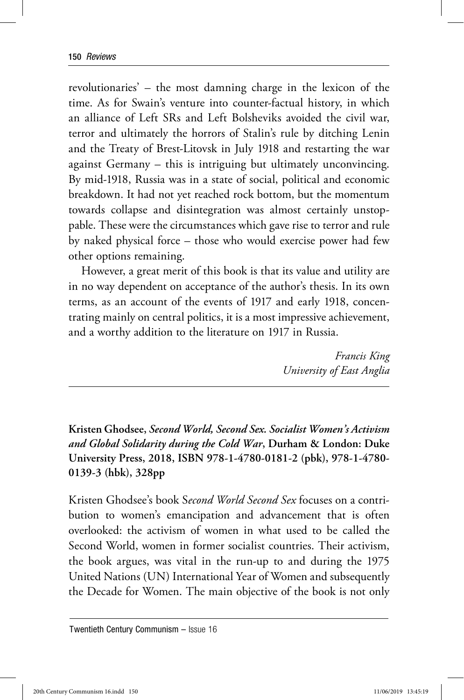revolutionaries' – the most damning charge in the lexicon of the time. As for Swain's venture into counter-factual history, in which an alliance of Left SRs and Left Bolsheviks avoided the civil war, terror and ultimately the horrors of Stalin's rule by ditching Lenin and the Treaty of Brest-Litovsk in July 1918 and restarting the war against Germany – this is intriguing but ultimately unconvincing. By mid-1918, Russia was in a state of social, political and economic breakdown. It had not yet reached rock bottom, but the momentum towards collapse and disintegration was almost certainly unstoppable. These were the circumstances which gave rise to terror and rule by naked physical force – those who would exercise power had few other options remaining.

However, a great merit of this book is that its value and utility are in no way dependent on acceptance of the author's thesis. In its own terms, as an account of the events of 1917 and early 1918, concentrating mainly on central politics, it is a most impressive achievement, and a worthy addition to the literature on 1917 in Russia.

> *Francis King University of East Anglia*

**Kristen Ghodsee,** *Second World, Second Sex. Socialist Women's Activism and Global Solidarity during the Cold War***, Durham & London: Duke University Press, 2018, ISBN 978-1-4780-0181-2 (pbk), 978-1-4780- 0139-3 (hbk), 328pp**

Kristen Ghodsee's book S*econd World Second Sex* focuses on a contribution to women's emancipation and advancement that is often overlooked: the activism of women in what used to be called the Second World, women in former socialist countries. Their activism, the book argues, was vital in the run-up to and during the 1975 United Nations (UN) International Year of Women and subsequently the Decade for Women. The main objective of the book is not only

Twentieth Century Communism – Issue 16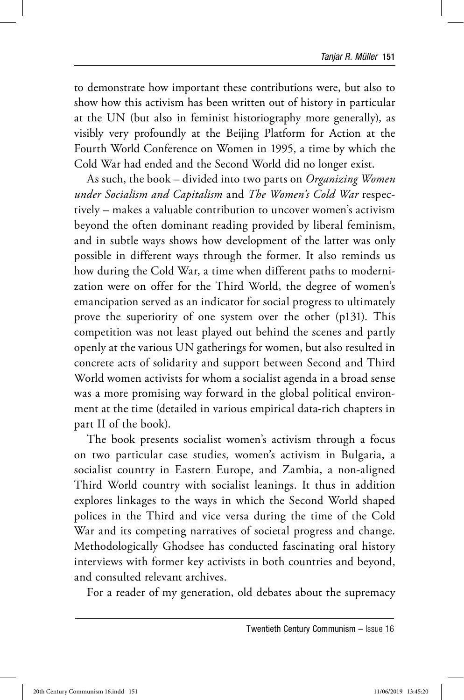to demonstrate how important these contributions were, but also to show how this activism has been written out of history in particular at the UN (but also in feminist historiography more generally), as visibly very profoundly at the Beijing Platform for Action at the Fourth World Conference on Women in 1995, a time by which the Cold War had ended and the Second World did no longer exist.

As such, the book – divided into two parts on *Organizing Women under Socialism and Capitalism* and *The Women's Cold War* respectively – makes a valuable contribution to uncover women's activism beyond the often dominant reading provided by liberal feminism, and in subtle ways shows how development of the latter was only possible in different ways through the former. It also reminds us how during the Cold War, a time when different paths to modernization were on offer for the Third World, the degree of women's emancipation served as an indicator for social progress to ultimately prove the superiority of one system over the other (p131). This competition was not least played out behind the scenes and partly openly at the various UN gatherings for women, but also resulted in concrete acts of solidarity and support between Second and Third World women activists for whom a socialist agenda in a broad sense was a more promising way forward in the global political environment at the time (detailed in various empirical data-rich chapters in part II of the book).

The book presents socialist women's activism through a focus on two particular case studies, women's activism in Bulgaria, a socialist country in Eastern Europe, and Zambia, a non-aligned Third World country with socialist leanings. It thus in addition explores linkages to the ways in which the Second World shaped polices in the Third and vice versa during the time of the Cold War and its competing narratives of societal progress and change. Methodologically Ghodsee has conducted fascinating oral history interviews with former key activists in both countries and beyond, and consulted relevant archives.

For a reader of my generation, old debates about the supremacy

Twentieth Century Communism – Issue 16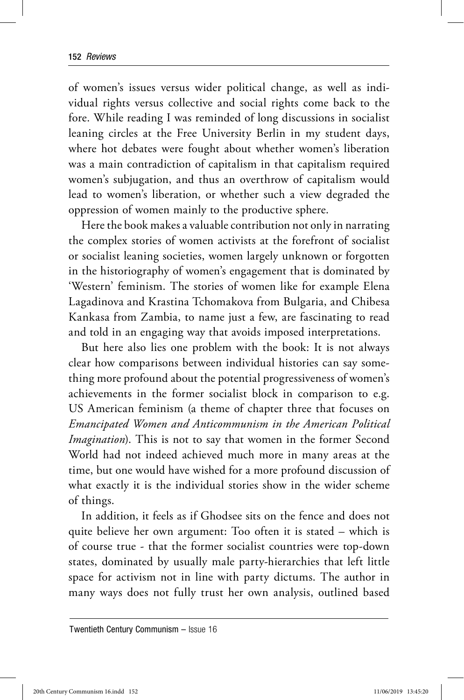of women's issues versus wider political change, as well as individual rights versus collective and social rights come back to the fore. While reading I was reminded of long discussions in socialist leaning circles at the Free University Berlin in my student days, where hot debates were fought about whether women's liberation was a main contradiction of capitalism in that capitalism required women's subjugation, and thus an overthrow of capitalism would lead to women's liberation, or whether such a view degraded the oppression of women mainly to the productive sphere.

Here the book makes a valuable contribution not only in narrating the complex stories of women activists at the forefront of socialist or socialist leaning societies, women largely unknown or forgotten in the historiography of women's engagement that is dominated by 'Western' feminism. The stories of women like for example Elena Lagadinova and Krastina Tchomakova from Bulgaria, and Chibesa Kankasa from Zambia, to name just a few, are fascinating to read and told in an engaging way that avoids imposed interpretations.

But here also lies one problem with the book: It is not always clear how comparisons between individual histories can say something more profound about the potential progressiveness of women's achievements in the former socialist block in comparison to e.g. US American feminism (a theme of chapter three that focuses on *Emancipated Women and Anticommunism in the American Political Imagination*). This is not to say that women in the former Second World had not indeed achieved much more in many areas at the time, but one would have wished for a more profound discussion of what exactly it is the individual stories show in the wider scheme of things.

In addition, it feels as if Ghodsee sits on the fence and does not quite believe her own argument: Too often it is stated – which is of course true - that the former socialist countries were top-down states, dominated by usually male party-hierarchies that left little space for activism not in line with party dictums. The author in many ways does not fully trust her own analysis, outlined based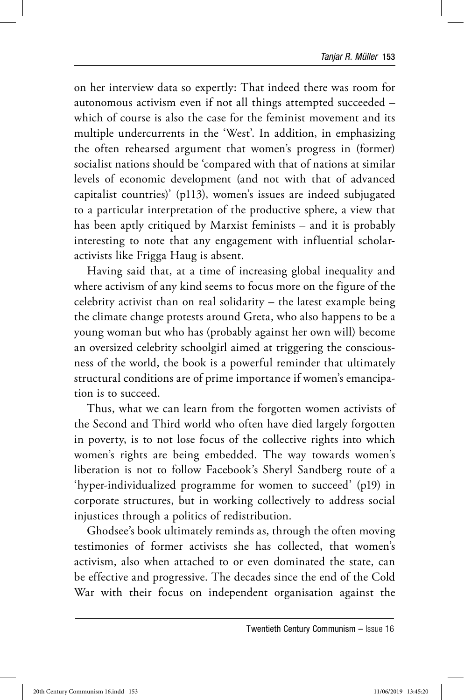on her interview data so expertly: That indeed there was room for autonomous activism even if not all things attempted succeeded – which of course is also the case for the feminist movement and its multiple undercurrents in the 'West'. In addition, in emphasizing the often rehearsed argument that women's progress in (former) socialist nations should be 'compared with that of nations at similar levels of economic development (and not with that of advanced capitalist countries)' (p113), women's issues are indeed subjugated to a particular interpretation of the productive sphere, a view that has been aptly critiqued by Marxist feminists – and it is probably interesting to note that any engagement with influential scholaractivists like Frigga Haug is absent.

Having said that, at a time of increasing global inequality and where activism of any kind seems to focus more on the figure of the celebrity activist than on real solidarity – the latest example being the climate change protests around Greta, who also happens to be a young woman but who has (probably against her own will) become an oversized celebrity schoolgirl aimed at triggering the consciousness of the world, the book is a powerful reminder that ultimately structural conditions are of prime importance if women's emancipation is to succeed.

Thus, what we can learn from the forgotten women activists of the Second and Third world who often have died largely forgotten in poverty, is to not lose focus of the collective rights into which women's rights are being embedded. The way towards women's liberation is not to follow Facebook's Sheryl Sandberg route of a 'hyper-individualized programme for women to succeed' (p19) in corporate structures, but in working collectively to address social injustices through a politics of redistribution.

Ghodsee's book ultimately reminds as, through the often moving testimonies of former activists she has collected, that women's activism, also when attached to or even dominated the state, can be effective and progressive. The decades since the end of the Cold War with their focus on independent organisation against the

Twentieth Century Communism – Issue 16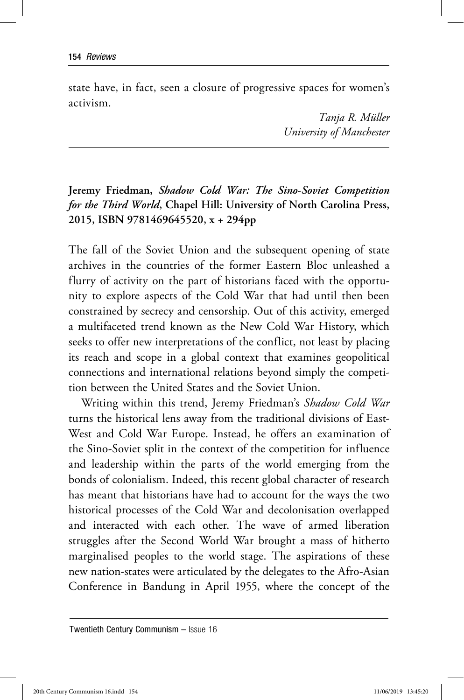state have, in fact, seen a closure of progressive spaces for women's activism.

> *Tanja R. Müller University of Manchester*

## **Jeremy Friedman,** *Shadow Cold War: The Sino-Soviet Competition for the Third World***, Chapel Hill: University of North Carolina Press, 2015, ISBN 9781469645520, x + 294pp**

The fall of the Soviet Union and the subsequent opening of state archives in the countries of the former Eastern Bloc unleashed a flurry of activity on the part of historians faced with the opportunity to explore aspects of the Cold War that had until then been constrained by secrecy and censorship. Out of this activity, emerged a multifaceted trend known as the New Cold War History, which seeks to offer new interpretations of the conflict, not least by placing its reach and scope in a global context that examines geopolitical connections and international relations beyond simply the competition between the United States and the Soviet Union.

Writing within this trend, Jeremy Friedman's *Shadow Cold War* turns the historical lens away from the traditional divisions of East-West and Cold War Europe. Instead, he offers an examination of the Sino-Soviet split in the context of the competition for influence and leadership within the parts of the world emerging from the bonds of colonialism. Indeed, this recent global character of research has meant that historians have had to account for the ways the two historical processes of the Cold War and decolonisation overlapped and interacted with each other. The wave of armed liberation struggles after the Second World War brought a mass of hitherto marginalised peoples to the world stage. The aspirations of these new nation-states were articulated by the delegates to the Afro-Asian Conference in Bandung in April 1955, where the concept of the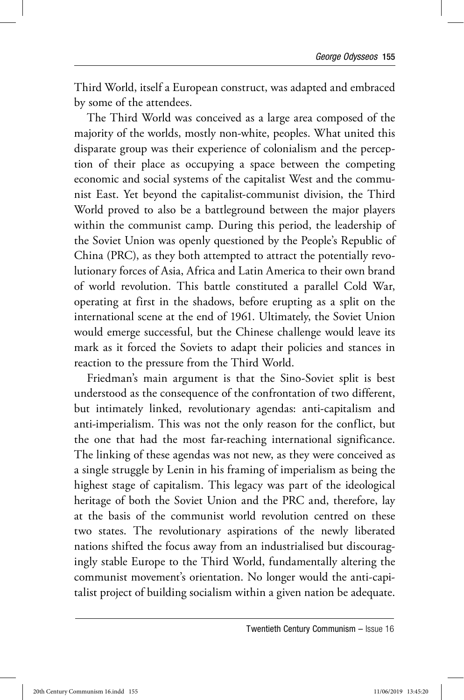Third World, itself a European construct, was adapted and embraced by some of the attendees.

The Third World was conceived as a large area composed of the majority of the worlds, mostly non-white, peoples. What united this disparate group was their experience of colonialism and the perception of their place as occupying a space between the competing economic and social systems of the capitalist West and the communist East. Yet beyond the capitalist-communist division, the Third World proved to also be a battleground between the major players within the communist camp. During this period, the leadership of the Soviet Union was openly questioned by the People's Republic of China (PRC), as they both attempted to attract the potentially revolutionary forces of Asia, Africa and Latin America to their own brand of world revolution. This battle constituted a parallel Cold War, operating at first in the shadows, before erupting as a split on the international scene at the end of 1961. Ultimately, the Soviet Union would emerge successful, but the Chinese challenge would leave its mark as it forced the Soviets to adapt their policies and stances in reaction to the pressure from the Third World.

Friedman's main argument is that the Sino-Soviet split is best understood as the consequence of the confrontation of two different, but intimately linked, revolutionary agendas: anti-capitalism and anti-imperialism. This was not the only reason for the conflict, but the one that had the most far-reaching international significance. The linking of these agendas was not new, as they were conceived as a single struggle by Lenin in his framing of imperialism as being the highest stage of capitalism. This legacy was part of the ideological heritage of both the Soviet Union and the PRC and, therefore, lay at the basis of the communist world revolution centred on these two states. The revolutionary aspirations of the newly liberated nations shifted the focus away from an industrialised but discouragingly stable Europe to the Third World, fundamentally altering the communist movement's orientation. No longer would the anti-capitalist project of building socialism within a given nation be adequate.

Twentieth Century Communism – Issue 16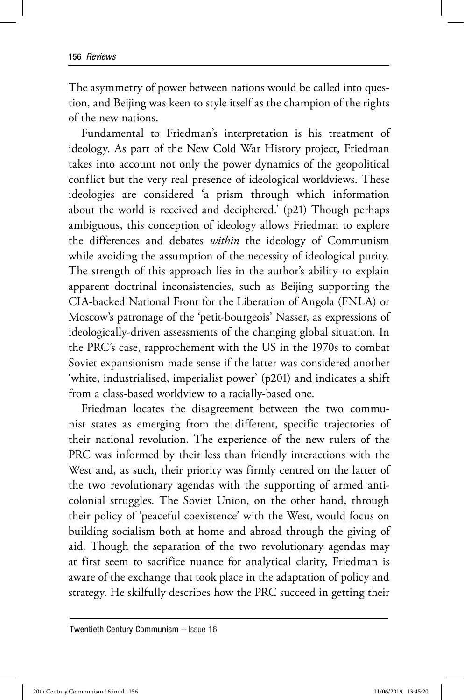The asymmetry of power between nations would be called into question, and Beijing was keen to style itself as the champion of the rights of the new nations.

Fundamental to Friedman's interpretation is his treatment of ideology. As part of the New Cold War History project, Friedman takes into account not only the power dynamics of the geopolitical conflict but the very real presence of ideological worldviews. These ideologies are considered 'a prism through which information about the world is received and deciphered.' (p21) Though perhaps ambiguous, this conception of ideology allows Friedman to explore the differences and debates *within* the ideology of Communism while avoiding the assumption of the necessity of ideological purity. The strength of this approach lies in the author's ability to explain apparent doctrinal inconsistencies, such as Beijing supporting the CIA-backed National Front for the Liberation of Angola (FNLA) or Moscow's patronage of the 'petit-bourgeois' Nasser, as expressions of ideologically-driven assessments of the changing global situation. In the PRC's case, rapprochement with the US in the 1970s to combat Soviet expansionism made sense if the latter was considered another 'white, industrialised, imperialist power' (p201) and indicates a shift from a class-based worldview to a racially-based one.

Friedman locates the disagreement between the two communist states as emerging from the different, specific trajectories of their national revolution. The experience of the new rulers of the PRC was informed by their less than friendly interactions with the West and, as such, their priority was firmly centred on the latter of the two revolutionary agendas with the supporting of armed anticolonial struggles. The Soviet Union, on the other hand, through their policy of 'peaceful coexistence' with the West, would focus on building socialism both at home and abroad through the giving of aid. Though the separation of the two revolutionary agendas may at first seem to sacrifice nuance for analytical clarity, Friedman is aware of the exchange that took place in the adaptation of policy and strategy. He skilfully describes how the PRC succeed in getting their